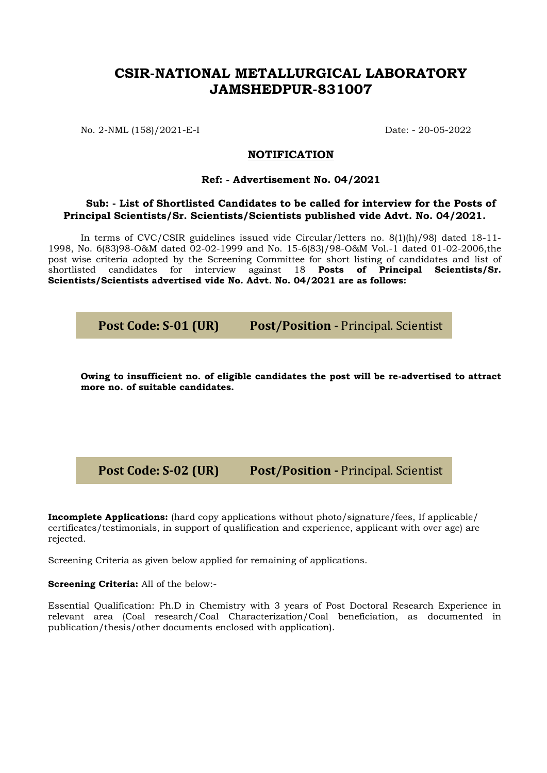## **CSIR-NATIONAL METALLURGICAL LABORATORY JAMSHEDPUR-831007**

No. 2-NML (158)/2021-E-I Date: - 20-05-2022

## **NOTIFICATION**

## **Ref: - Advertisement No. 04/2021**

## **Sub: - List of Shortlisted Candidates to be called for interview for the Posts of Principal Scientists/Sr. Scientists/Scientists published vide Advt. No. 04/2021.**

In terms of CVC/CSIR guidelines issued vide Circular/letters no. 8(1)(h)/98) dated 18-11- 1998, No. 6(83)98-O&M dated 02-02-1999 and No. 15-6(83)/98-O&M Vol.-1 dated 01-02-2006,the post wise criteria adopted by the Screening Committee for short listing of candidates and list of shortlisted candidates for interview against 18 **Posts of Principal Scientists/Sr. Scientists/Scientists advertised vide No. Advt. No. 04/2021 are as follows:**

**Owing to insufficient no. of eligible candidates the post will be re-advertised to attract more no. of suitable candidates.** 

**Post Code: S-02 (UR) Post/Position -** Principal. Scientist

**Incomplete Applications:** (hard copy applications without photo/signature/fees, If applicable/ certificates/testimonials, in support of qualification and experience, applicant with over age) are rejected.

Screening Criteria as given below applied for remaining of applications.

**Screening Criteria:** All of the below:-

Essential Qualification: Ph.D in Chemistry with 3 years of Post Doctoral Research Experience in relevant area (Coal research/Coal Characterization/Coal beneficiation, as documented in publication/thesis/other documents enclosed with application).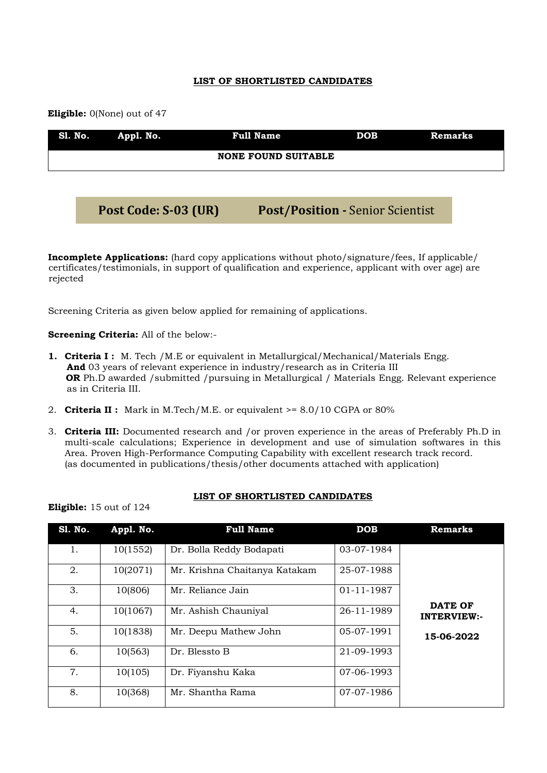## **LIST OF SHORTLISTED CANDIDATES**

 **Eligible:** 0(None) out of 47

| Sl. No. Appl. No. | <b>Full Name</b>           | DOB | <b>Remarks</b> |
|-------------------|----------------------------|-----|----------------|
|                   | <b>NONE FOUND SUITABLE</b> |     |                |
|                   |                            |     |                |

**Post Code: S-03 (UR) Post/Position -** Senior Scientist

**Incomplete Applications:** (hard copy applications without photo/signature/fees, If applicable/ certificates/testimonials, in support of qualification and experience, applicant with over age) are rejected

Screening Criteria as given below applied for remaining of applications.

**Screening Criteria:** All of the below:-

- **1. Criteria I :** M. Tech /M.E or equivalent in Metallurgical/Mechanical/Materials Engg.  **And** 03 years of relevant experience in industry/research as in Criteria III **OR** Ph.D awarded /submitted /pursuing in Metallurgical / Materials Engg. Relevant experience as in Criteria III.
- 2. **Criteria II :** Mark in M.Tech/M.E. or equivalent >= 8.0/10 CGPA or 80%
- 3. **Criteria III:** Documented research and /or proven experience in the areas of Preferably Ph.D in multi-scale calculations; Experience in development and use of simulation softwares in this Area. Proven High-Performance Computing Capability with excellent research track record. (as documented in publications/thesis/other documents attached with application)

### **LIST OF SHORTLISTED CANDIDATES**

| <b>Eligible:</b> 15 out of 124 |  |  |
|--------------------------------|--|--|
|--------------------------------|--|--|

| <b>S1. No.</b> | Appl. No. | <b>Full Name</b>              | DOB        | <b>Remarks</b>                |
|----------------|-----------|-------------------------------|------------|-------------------------------|
| 1.             | 10(1552)  | Dr. Bolla Reddy Bodapati      | 03-07-1984 |                               |
| 2.             | 10(2071)  | Mr. Krishna Chaitanya Katakam | 25-07-1988 |                               |
| 3.             | 10(806)   | Mr. Reliance Jain             | 01-11-1987 |                               |
| 4.             | 10(1067)  | Mr. Ashish Chauniyal          | 26-11-1989 | DATE OF<br><b>INTERVIEW:-</b> |
| 5.             | 10(1838)  | Mr. Deepu Mathew John         | 05-07-1991 | 15-06-2022                    |
| 6.             | 10(563)   | Dr. Blessto B                 | 21-09-1993 |                               |
| 7.             | 10(105)   | Dr. Fiyanshu Kaka             | 07-06-1993 |                               |
| 8.             | 10(368)   | Mr. Shantha Rama              | 07-07-1986 |                               |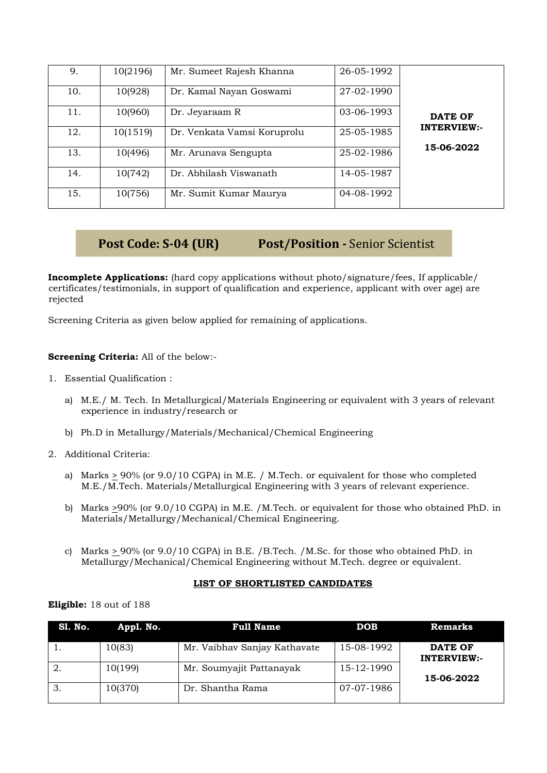| 9.  | 10(2196) | Mr. Sumeet Rajesh Khanna    | 26-05-1992 |                    |
|-----|----------|-----------------------------|------------|--------------------|
| 10. | 10(928)  | Dr. Kamal Nayan Goswami     | 27-02-1990 |                    |
| 11. | 10(960)  | Dr. Jeyaraam R              | 03-06-1993 | <b>DATE OF</b>     |
| 12. | 10(1519) | Dr. Venkata Vamsi Koruprolu | 25-05-1985 | <b>INTERVIEW:-</b> |
| 13. | 10(496)  | Mr. Arunava Sengupta        | 25-02-1986 | 15-06-2022         |
| 14. | 10(742)  | Dr. Abhilash Viswanath      | 14-05-1987 |                    |
| 15. | 10(756)  | Mr. Sumit Kumar Maurya      | 04-08-1992 |                    |

## **Post Code: S-04 (UR) Post/Position -** Senior Scientist

**Incomplete Applications:** (hard copy applications without photo/signature/fees, If applicable/ certificates/testimonials, in support of qualification and experience, applicant with over age) are rejected

Screening Criteria as given below applied for remaining of applications.

## **Screening Criteria:** All of the below:-

- 1. Essential Qualification :
	- a) M.E./ M. Tech. In Metallurgical/Materials Engineering or equivalent with 3 years of relevant experience in industry/research or
	- b) Ph.D in Metallurgy/Materials/Mechanical/Chemical Engineering
- 2. Additional Criteria:
	- a) Marks  $\geq$  90% (or 9.0/10 CGPA) in M.E. / M.Tech. or equivalent for those who completed M.E./M.Tech. Materials/Metallurgical Engineering with 3 years of relevant experience.
	- b) Marks >90% (or 9.0/10 CGPA) in M.E. /M.Tech. or equivalent for those who obtained PhD. in Materials/Metallurgy/Mechanical/Chemical Engineering.
	- c) Marks  $\geq$  90% (or 9.0/10 CGPA) in B.E. /B.Tech. /M.Sc. for those who obtained PhD. in Metallurgy/Mechanical/Chemical Engineering without M.Tech. degree or equivalent.

## **LIST OF SHORTLISTED CANDIDATES**

## **Eligible:** 18 out of 188

| Sl. No. | Appl. No. | <b>Full Name</b>             | <b>DOB</b> | <b>Remarks</b>                |
|---------|-----------|------------------------------|------------|-------------------------------|
|         | 10(83)    | Mr. Vaibhav Sanjay Kathavate | 15-08-1992 | DATE OF<br><b>INTERVIEW:-</b> |
|         | 10(199)   | Mr. Soumyajit Pattanayak     | 15-12-1990 | 15-06-2022                    |
| -3.     | 10(370)   | Dr. Shantha Rama             | 07-07-1986 |                               |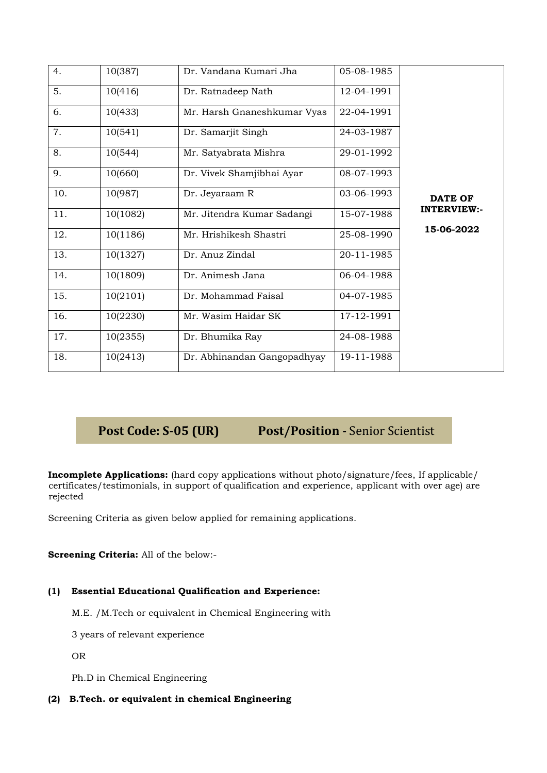| 4.  | 10(387)  | Dr. Vandana Kumari Jha      | 05-08-1985 |                    |
|-----|----------|-----------------------------|------------|--------------------|
| 5.  | 10(416)  | Dr. Ratnadeep Nath          | 12-04-1991 |                    |
| 6.  | 10(433)  | Mr. Harsh Gnaneshkumar Vyas | 22-04-1991 |                    |
| 7.  | 10(541)  | Dr. Samarjit Singh          | 24-03-1987 |                    |
| 8.  | 10(544)  | Mr. Satyabrata Mishra       | 29-01-1992 |                    |
| 9.  | 10(660)  | Dr. Vivek Shamjibhai Ayar   | 08-07-1993 |                    |
| 10. | 10(987)  | Dr. Jeyaraam R              | 03-06-1993 | DATE OF            |
| 11. | 10(1082) | Mr. Jitendra Kumar Sadangi  | 15-07-1988 | <b>INTERVIEW:-</b> |
| 12. | 10(1186) | Mr. Hrishikesh Shastri      | 25-08-1990 | 15-06-2022         |
| 13. | 10(1327) | Dr. Anuz Zindal             | 20-11-1985 |                    |
| 14. | 10(1809) | Dr. Animesh Jana            | 06-04-1988 |                    |
| 15. | 10(2101) | Dr. Mohammad Faisal         | 04-07-1985 |                    |
| 16. | 10(2230) | Mr. Wasim Haidar SK         | 17-12-1991 |                    |
| 17. | 10(2355) | Dr. Bhumika Ray             | 24-08-1988 |                    |
| 18. | 10(2413) | Dr. Abhinandan Gangopadhyay | 19-11-1988 |                    |
|     |          |                             |            |                    |

# **Post Code: S-05 (UR) Post/Position -** Senior Scientist

**Incomplete Applications:** (hard copy applications without photo/signature/fees, If applicable/ certificates/testimonials, in support of qualification and experience, applicant with over age) are rejected

Screening Criteria as given below applied for remaining applications.

**Screening Criteria:** All of the below:-

## **(1) Essential Educational Qualification and Experience:**

M.E. /M.Tech or equivalent in Chemical Engineering with

3 years of relevant experience

OR

Ph.D in Chemical Engineering

**(2) B.Tech. or equivalent in chemical Engineering**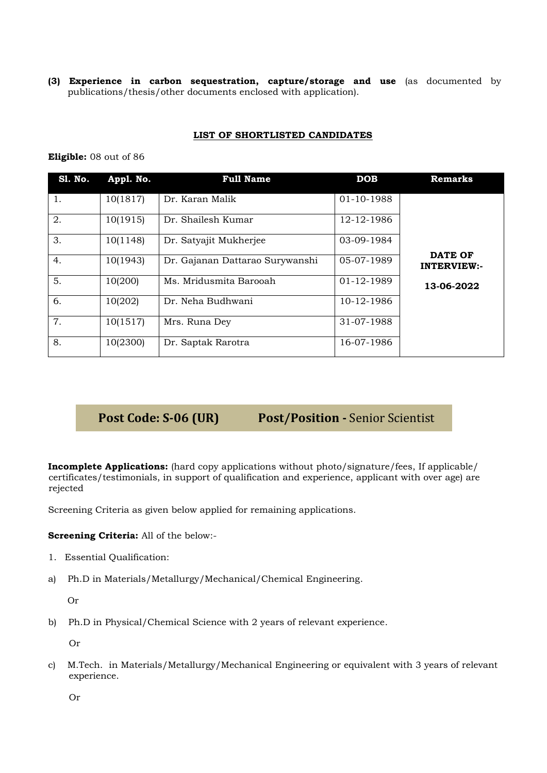**(3) Experience in carbon sequestration, capture/storage and use** (as documented by publications/thesis/other documents enclosed with application).

## **LIST OF SHORTLISTED CANDIDATES**

### **Eligible:** 08 out of 86

| <b>S1. No.</b> | Appl. No. | <b>Full Name</b>                | <b>DOB</b> | <b>Remarks</b>                       |
|----------------|-----------|---------------------------------|------------|--------------------------------------|
| 1.             | 10(1817)  | Dr. Karan Malik                 | 01-10-1988 |                                      |
| 2.             | 10(1915)  | Dr. Shailesh Kumar              | 12-12-1986 |                                      |
| 3.             | 10(1148)  | Dr. Satyajit Mukherjee          | 03-09-1984 |                                      |
| 4.             | 10(1943)  | Dr. Gajanan Dattarao Surywanshi | 05-07-1989 | <b>DATE OF</b><br><b>INTERVIEW:-</b> |
| 5.             | 10(200)   | Ms. Mridusmita Barooah          | 01-12-1989 | 13-06-2022                           |
| 6.             | 10(202)   | Dr. Neha Budhwani               | 10-12-1986 |                                      |
| 7.             | 10(1517)  | Mrs. Runa Dey                   | 31-07-1988 |                                      |
| 8.             | 10(2300)  | Dr. Saptak Rarotra              | 16-07-1986 |                                      |

## **Post Code: S-06 (UR) Post/Position -** Senior Scientist

**Incomplete Applications:** (hard copy applications without photo/signature/fees, If applicable/ certificates/testimonials, in support of qualification and experience, applicant with over age) are rejected

Screening Criteria as given below applied for remaining applications.

## **Screening Criteria:** All of the below:-

- 1. Essential Qualification:
- a) Ph.D in Materials/Metallurgy/Mechanical/Chemical Engineering.

Or

b) Ph.D in Physical/Chemical Science with 2 years of relevant experience.

Or

c) M.Tech. in Materials/Metallurgy/Mechanical Engineering or equivalent with 3 years of relevant experience.

Or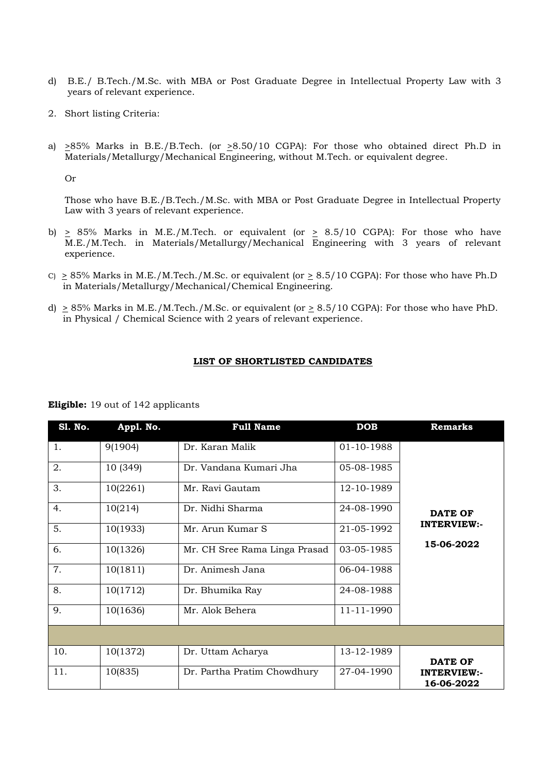- d) B.E./ B.Tech./M.Sc. with MBA or Post Graduate Degree in Intellectual Property Law with 3 years of relevant experience.
- 2. Short listing Criteria:
- a) >85% Marks in B.E./B.Tech. (or >8.50/10 CGPA): For those who obtained direct Ph.D in Materials/Metallurgy/Mechanical Engineering, without M.Tech. or equivalent degree.

Or

Those who have B.E./B.Tech./M.Sc. with MBA or Post Graduate Degree in Intellectual Property Law with 3 years of relevant experience.

- b)  $\geq$  85% Marks in M.E./M.Tech. or equivalent (or  $\geq$  8.5/10 CGPA): For those who have M.E./M.Tech. in Materials/Metallurgy/Mechanical Engineering with 3 years of relevant experience.
- C)  $\geq$  85% Marks in M.E./M.Tech./M.Sc. or equivalent (or  $\geq$  8.5/10 CGPA): For those who have Ph.D in Materials/Metallurgy/Mechanical/Chemical Engineering.
- d)  $\geq$  85% Marks in M.E./M.Tech./M.Sc. or equivalent (or  $\geq$  8.5/10 CGPA): For those who have PhD. in Physical / Chemical Science with 2 years of relevant experience.

### **LIST OF SHORTLISTED CANDIDATES**

| <b>S1. No.</b> | Appl. No. | <b>Full Name</b>              | <b>DOB</b> | <b>Remarks</b>                   |
|----------------|-----------|-------------------------------|------------|----------------------------------|
| 1.             | 9(1904)   | Dr. Karan Malik               | 01-10-1988 |                                  |
| 2.             | 10 (349)  | Dr. Vandana Kumari Jha        | 05-08-1985 |                                  |
| 3.             | 10(2261)  | Mr. Ravi Gautam               | 12-10-1989 |                                  |
| 4.             | 10(214)   | Dr. Nidhi Sharma              | 24-08-1990 | <b>DATE OF</b>                   |
| 5.             | 10(1933)  | Mr. Arun Kumar S              | 21-05-1992 | <b>INTERVIEW:-</b>               |
| 6.             | 10(1326)  | Mr. CH Sree Rama Linga Prasad | 03-05-1985 | 15-06-2022                       |
| 7.             | 10(1811)  | Dr. Animesh Jana              | 06-04-1988 |                                  |
| 8.             | 10(1712)  | Dr. Bhumika Ray               | 24-08-1988 |                                  |
| 9.             | 10(1636)  | Mr. Alok Behera               | 11-11-1990 |                                  |
|                |           |                               |            |                                  |
| 10.            | 10(1372)  | Dr. Uttam Acharya             | 13-12-1989 | DATE OF                          |
| 11.            | 10(835)   | Dr. Partha Pratim Chowdhury   | 27-04-1990 | <b>INTERVIEW:-</b><br>16-06-2022 |

### **Eligible:** 19 out of 142 applicants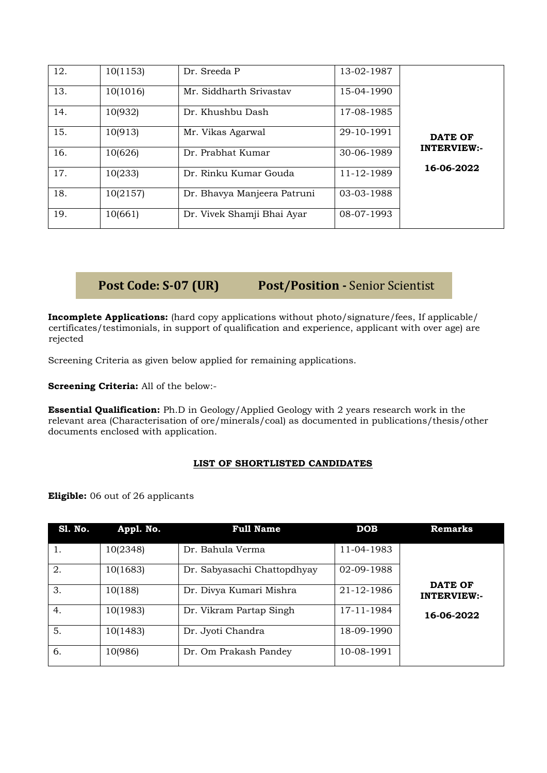| 12. | 10(1153) | Dr. Sreeda P                | 13-02-1987 |                                  |
|-----|----------|-----------------------------|------------|----------------------------------|
| 13. | 10(1016) | Mr. Siddharth Srivastav     | 15-04-1990 |                                  |
| 14. | 10(932)  | Dr. Khushbu Dash            | 17-08-1985 |                                  |
| 15. | 10(913)  | Mr. Vikas Agarwal           | 29-10-1991 | <b>DATE OF</b>                   |
| 16. | 10(626)  | Dr. Prabhat Kumar           | 30-06-1989 | <b>INTERVIEW:-</b><br>16-06-2022 |
| 17. | 10(233)  | Dr. Rinku Kumar Gouda       | 11-12-1989 |                                  |
| 18. | 10(2157) | Dr. Bhavya Manjeera Patruni | 03-03-1988 |                                  |
| 19. | 10(661)  | Dr. Vivek Shamji Bhai Ayar  | 08-07-1993 |                                  |

# **Post Code: S-07 (UR) Post/Position -** Senior Scientist

**Incomplete Applications:** (hard copy applications without photo/signature/fees, If applicable/ certificates/testimonials, in support of qualification and experience, applicant with over age) are rejected

Screening Criteria as given below applied for remaining applications.

**Screening Criteria:** All of the below:-

**Essential Qualification:** Ph.D in Geology/Applied Geology with 2 years research work in the relevant area (Characterisation of ore/minerals/coal) as documented in publications/thesis/other documents enclosed with application.

## **LIST OF SHORTLISTED CANDIDATES**

**Eligible:** 06 out of 26 applicants

| <b>S1. No.</b> | Appl. No. | <b>Full Name</b>            | <b>DOB</b> | Remarks                              |
|----------------|-----------|-----------------------------|------------|--------------------------------------|
| 1.             | 10(2348)  | Dr. Bahula Verma            | 11-04-1983 |                                      |
| 2.             | 10(1683)  | Dr. Sabyasachi Chattopdhyay | 02-09-1988 |                                      |
| 3.             | 10(188)   | Dr. Divya Kumari Mishra     | 21-12-1986 | <b>DATE OF</b><br><b>INTERVIEW:-</b> |
| 4.             | 10(1983)  | Dr. Vikram Partap Singh     | 17-11-1984 | 16-06-2022                           |
| 5.             | 10(1483)  | Dr. Jyoti Chandra           | 18-09-1990 |                                      |
| 6.             | 10(986)   | Dr. Om Prakash Pandey       | 10-08-1991 |                                      |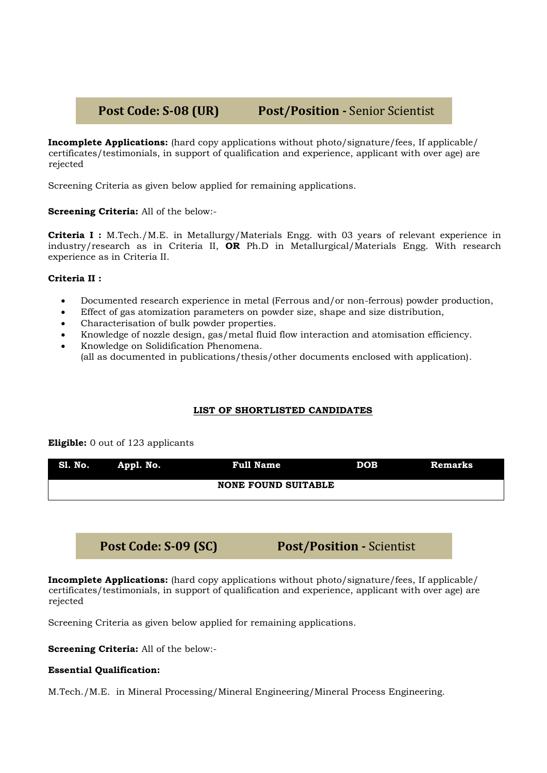# **Post Code: S-08 (UR) Post/Position -** Senior Scientist

**Incomplete Applications:** (hard copy applications without photo/signature/fees, If applicable/ certificates/testimonials, in support of qualification and experience, applicant with over age) are rejected

Screening Criteria as given below applied for remaining applications.

**Screening Criteria:** All of the below:-

**Criteria I :** M.Tech./M.E. in Metallurgy/Materials Engg. with 03 years of relevant experience in industry/research as in Criteria II, **OR** Ph.D in Metallurgical/Materials Engg. With research experience as in Criteria II.

## **Criteria II :**

- Documented research experience in metal (Ferrous and/or non-ferrous) powder production,
- Effect of gas atomization parameters on powder size, shape and size distribution,
- Characterisation of bulk powder properties.
- Knowledge of nozzle design, gas/metal fluid flow interaction and atomisation efficiency.
- Knowledge on Solidification Phenomena. (all as documented in publications/thesis/other documents enclosed with application).

## **LIST OF SHORTLISTED CANDIDATES**

### **Eligible:** 0 out of 123 applicants

| Sl. No. Appl. No. | Full Name                  | <b>DOB</b> | <b>Remarks</b> |
|-------------------|----------------------------|------------|----------------|
|                   | <b>NONE FOUND SUITABLE</b> |            |                |

## **Post Code: S-09 (SC) Post/Position -** Scientist

**Incomplete Applications:** (hard copy applications without photo/signature/fees, If applicable/ certificates/testimonials, in support of qualification and experience, applicant with over age) are rejected

Screening Criteria as given below applied for remaining applications.

**Screening Criteria:** All of the below:-

## **Essential Qualification:**

M.Tech./M.E. in Mineral Processing/Mineral Engineering/Mineral Process Engineering.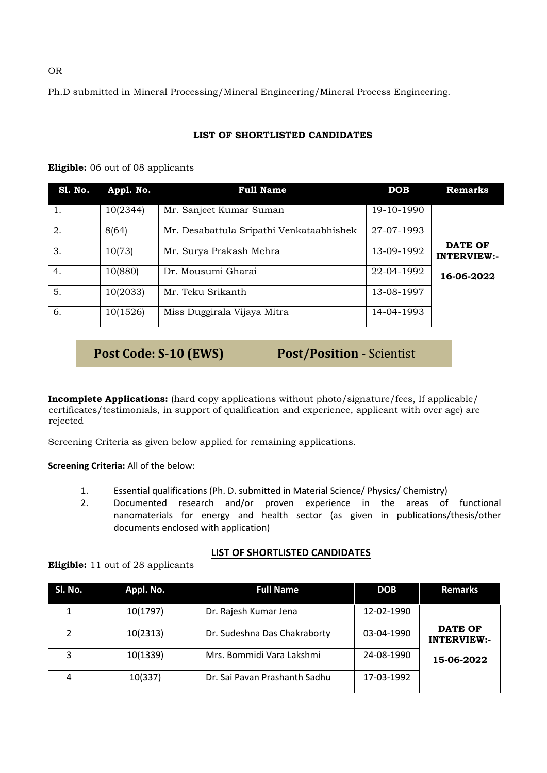Ph.D submitted in Mineral Processing/Mineral Engineering/Mineral Process Engineering.

## **LIST OF SHORTLISTED CANDIDATES**

| <b>S1. No.</b>   | Appl. No. | <b>Full Name</b>                         | <b>DOB</b> | <b>Remarks</b>     |
|------------------|-----------|------------------------------------------|------------|--------------------|
| 1.               | 10(2344)  | Mr. Sanjeet Kumar Suman                  | 19-10-1990 |                    |
| 2.               | 8(64)     | Mr. Desabattula Sripathi Venkataabhishek | 27-07-1993 | <b>DATE OF</b>     |
| 3.               | 10(73)    | Mr. Surya Prakash Mehra                  | 13-09-1992 | <b>INTERVIEW:-</b> |
| $\overline{4}$ . | 10(880)   | Dr. Mousumi Gharai                       | 22-04-1992 | 16-06-2022         |
| 5.               | 10(2033)  | Mr. Teku Srikanth                        | 13-08-1997 |                    |
| 6.               | 10(1526)  | Miss Duggirala Vijaya Mitra              | 14-04-1993 |                    |

## **Eligible:** 06 out of 08 applicants

**Post Code: S-10 (EWS) Post/Position -** Scientist

**Incomplete Applications:** (hard copy applications without photo/signature/fees, If applicable/ certificates/testimonials, in support of qualification and experience, applicant with over age) are rejected

Screening Criteria as given below applied for remaining applications.

**Screening Criteria:** All of the below:

- 1. Essential qualifications (Ph. D. submitted in Material Science/ Physics/ Chemistry)
- 2. Documented research and/or proven experience in the areas of functional nanomaterials for energy and health sector (as given in publications/thesis/other documents enclosed with application)

## **LIST OF SHORTLISTED CANDIDATES**

**Eligible:** 11 out of 28 applicants

| Sl. No. | Appl. No. | <b>Full Name</b>              | <b>DOB</b> | <b>Remarks</b>                       |
|---------|-----------|-------------------------------|------------|--------------------------------------|
|         | 10(1797)  | Dr. Rajesh Kumar Jena         | 12-02-1990 |                                      |
|         | 10(2313)  | Dr. Sudeshna Das Chakraborty  | 03-04-1990 | <b>DATE OF</b><br><b>INTERVIEW:-</b> |
| 3       | 10(1339)  | Mrs. Bommidi Vara Lakshmi     | 24-08-1990 | 15-06-2022                           |
| 4       | 10(337)   | Dr. Sai Pavan Prashanth Sadhu | 17-03-1992 |                                      |

OR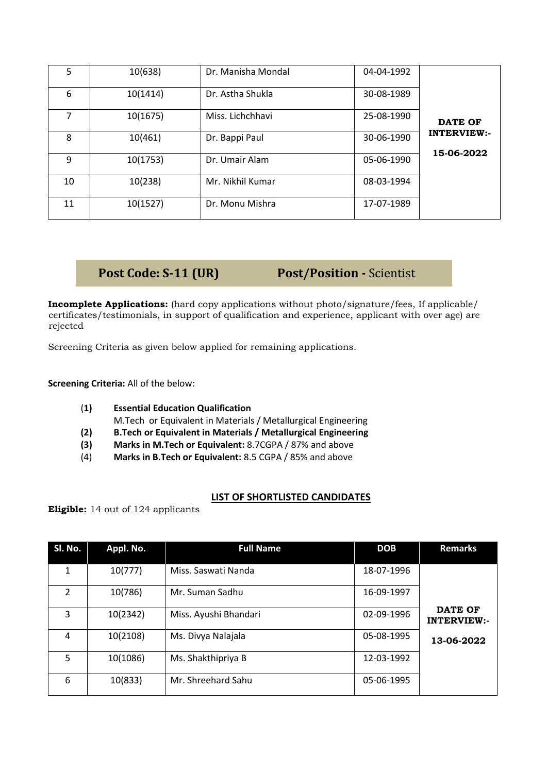| 5  | 10(638)  | Dr. Manisha Mondal | 04-04-1992 |                                  |
|----|----------|--------------------|------------|----------------------------------|
| 6  | 10(1414) | Dr. Astha Shukla   | 30-08-1989 |                                  |
|    | 10(1675) | Miss. Lichchhavi   | 25-08-1990 | <b>DATE OF</b>                   |
| 8  | 10(461)  | Dr. Bappi Paul     | 30-06-1990 | <b>INTERVIEW:-</b><br>15-06-2022 |
| 9  | 10(1753) | Dr. Umair Alam     | 05-06-1990 |                                  |
| 10 | 10(238)  | Mr. Nikhil Kumar   | 08-03-1994 |                                  |
| 11 | 10(1527) | Dr. Monu Mishra    | 17-07-1989 |                                  |

## **Post Code: S-11 (UR) Post/Position -** Scientist

**Incomplete Applications:** (hard copy applications without photo/signature/fees, If applicable/ certificates/testimonials, in support of qualification and experience, applicant with over age) are rejected

Screening Criteria as given below applied for remaining applications.

**Screening Criteria:** All of the below:

- (**1) Essential Education Qualification** M.Tech or Equivalent in Materials / Metallurgical Engineering
- **(2) B.Tech or Equivalent in Materials / Metallurgical Engineering**
- **(3) Marks in M.Tech or Equivalent:** 8.7CGPA / 87% and above
- (4) **Marks in B.Tech or Equivalent:** 8.5 CGPA / 85% and above

## **LIST OF SHORTLISTED CANDIDATES**

**Eligible:** 14 out of 124 applicants

| SI. No.       | Appl. No. | <b>Full Name</b>      | <b>DOB</b> | <b>Remarks</b>                       |
|---------------|-----------|-----------------------|------------|--------------------------------------|
| 1             | 10(777)   | Miss. Saswati Nanda   | 18-07-1996 |                                      |
| $\mathcal{P}$ | 10(786)   | Mr. Suman Sadhu       | 16-09-1997 |                                      |
| 3             | 10(2342)  | Miss. Ayushi Bhandari | 02-09-1996 | <b>DATE OF</b><br><b>INTERVIEW:-</b> |
| 4             | 10(2108)  | Ms. Divya Nalajala    | 05-08-1995 | 13-06-2022                           |
| 5             | 10(1086)  | Ms. Shakthipriya B    | 12-03-1992 |                                      |
| 6             | 10(833)   | Mr. Shreehard Sahu    | 05-06-1995 |                                      |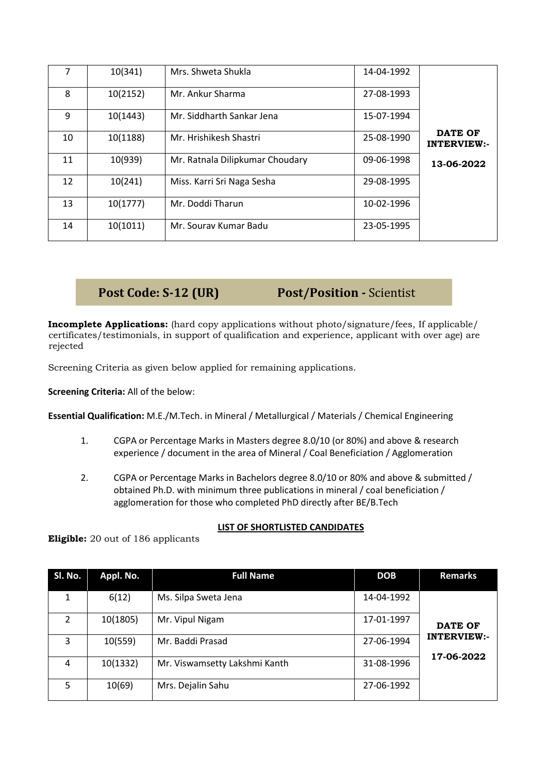|    | 10(341)  | Mrs. Shweta Shukla              | 14-04-1992 |                                      |
|----|----------|---------------------------------|------------|--------------------------------------|
| 8  | 10(2152) | Mr. Ankur Sharma                | 27-08-1993 |                                      |
| 9  | 10(1443) | Mr. Siddharth Sankar Jena       | 15-07-1994 |                                      |
| 10 | 10(1188) | Mr. Hrishikesh Shastri          | 25-08-1990 | <b>DATE OF</b><br><b>INTERVIEW:-</b> |
| 11 | 10(939)  | Mr. Ratnala Dilipkumar Choudary | 09-06-1998 | 13-06-2022                           |
| 12 | 10(241)  | Miss. Karri Sri Naga Sesha      | 29-08-1995 |                                      |
| 13 | 10(1777) | Mr. Doddi Tharun                | 10-02-1996 |                                      |
| 14 | 10(1011) | Mr. Sourav Kumar Badu           | 23-05-1995 |                                      |

**Post Code: S-12 (UR) Post/Position -** Scientist

**Incomplete Applications:** (hard copy applications without photo/signature/fees, If applicable/ certificates/testimonials, in support of qualification and experience, applicant with over age) are rejected

Screening Criteria as given below applied for remaining applications.

**Screening Criteria:** All of the below:

**Essential Qualification:** M.E./M.Tech. in Mineral / Metallurgical / Materials / Chemical Engineering

- 1. CGPA or Percentage Marks in Masters degree 8.0/10 (or 80%) and above & research experience / document in the area of Mineral / Coal Beneficiation / Agglomeration
- 2. CGPA or Percentage Marks in Bachelors degree 8.0/10 or 80% and above & submitted / obtained Ph.D. with minimum three publications in mineral / coal beneficiation / agglomeration for those who completed PhD directly after BE/B.Tech

## **LIST OF SHORTLISTED CANDIDATES**

**Eligible:** 20 out of 186 applicants

| SI. No.        | Appl. No. | <b>Full Name</b>              | <b>DOB</b> | <b>Remarks</b>                   |
|----------------|-----------|-------------------------------|------------|----------------------------------|
| 1              | 6(12)     | Ms. Silpa Sweta Jena          | 14-04-1992 |                                  |
| $\overline{2}$ | 10(1805)  | Mr. Vipul Nigam               | 17-01-1997 | <b>DATE OF</b>                   |
| 3              | 10(559)   | Mr. Baddi Prasad              | 27-06-1994 | <b>INTERVIEW:-</b><br>17-06-2022 |
| 4              | 10(1332)  | Mr. Viswamsetty Lakshmi Kanth | 31-08-1996 |                                  |
| 5              | 10(69)    | Mrs. Dejalin Sahu             | 27-06-1992 |                                  |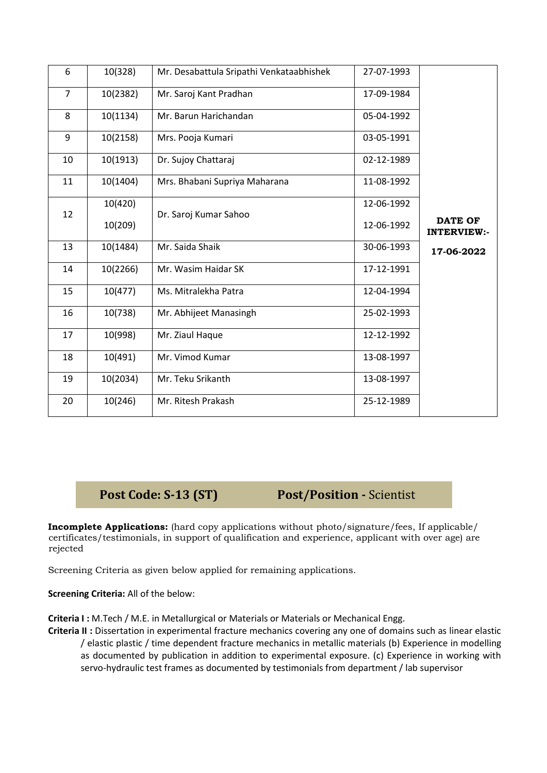| 6              | 10(328)  | Mr. Desabattula Sripathi Venkataabhishek | 27-07-1993 |                                      |
|----------------|----------|------------------------------------------|------------|--------------------------------------|
| $\overline{7}$ | 10(2382) | Mr. Saroj Kant Pradhan                   | 17-09-1984 |                                      |
| 8              | 10(1134) | Mr. Barun Harichandan                    | 05-04-1992 |                                      |
| 9              | 10(2158) | Mrs. Pooja Kumari                        | 03-05-1991 |                                      |
| 10             | 10(1913) | Dr. Sujoy Chattaraj                      | 02-12-1989 |                                      |
| 11             | 10(1404) | Mrs. Bhabani Supriya Maharana            | 11-08-1992 |                                      |
| 12             | 10(420)  | Dr. Saroj Kumar Sahoo                    | 12-06-1992 |                                      |
|                | 10(209)  |                                          | 12-06-1992 | <b>DATE OF</b><br><b>INTERVIEW:-</b> |
| 13             | 10(1484) | Mr. Saida Shaik                          | 30-06-1993 | 17-06-2022                           |
| 14             | 10(2266) | Mr. Wasim Haidar SK                      | 17-12-1991 |                                      |
| 15             | 10(477)  | Ms. Mitralekha Patra                     | 12-04-1994 |                                      |
| 16             | 10(738)  | Mr. Abhijeet Manasingh                   | 25-02-1993 |                                      |
| 17             | 10(998)  | Mr. Ziaul Haque                          | 12-12-1992 |                                      |
| 18             | 10(491)  | Mr. Vimod Kumar                          | 13-08-1997 |                                      |
| 19             | 10(2034) | Mr. Teku Srikanth                        | 13-08-1997 |                                      |
| 20             | 10(246)  | Mr. Ritesh Prakash                       | 25-12-1989 |                                      |

**Post Code: S-13 (ST) Post/Position -** Scientist

**Incomplete Applications:** (hard copy applications without photo/signature/fees, If applicable/ certificates/testimonials, in support of qualification and experience, applicant with over age) are rejected

Screening Criteria as given below applied for remaining applications.

**Screening Criteria:** All of the below:

**Criteria I :** M.Tech / M.E. in Metallurgical or Materials or Materials or Mechanical Engg.

**Criteria II :** Dissertation in experimental fracture mechanics covering any one of domains such as linear elastic / elastic plastic / time dependent fracture mechanics in metallic materials (b) Experience in modelling as documented by publication in addition to experimental exposure. (c) Experience in working with servo-hydraulic test frames as documented by testimonials from department / lab supervisor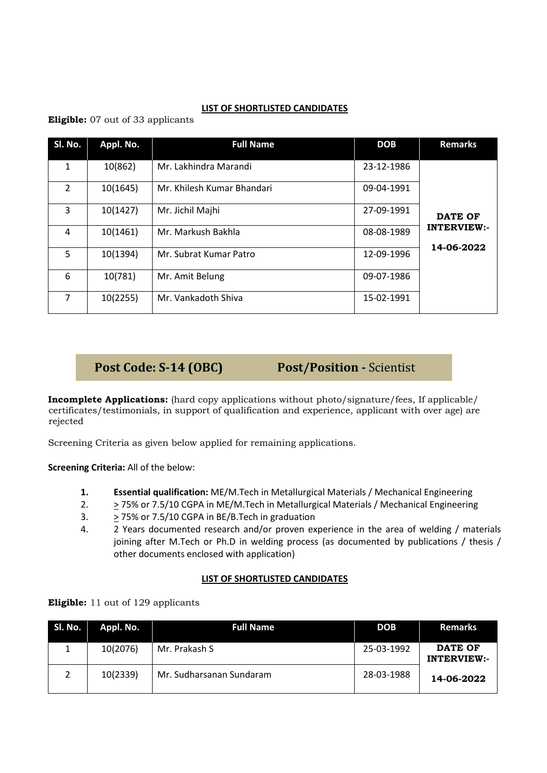## **LIST OF SHORTLISTED CANDIDATES**

**Eligible:** 07 out of 33 applicants

| SI. No.        | Appl. No. | <b>Full Name</b>           | <b>DOB</b> | <b>Remarks</b>                   |
|----------------|-----------|----------------------------|------------|----------------------------------|
| 1              | 10(862)   | Mr. Lakhindra Marandi      | 23-12-1986 |                                  |
| $\overline{2}$ | 10(1645)  | Mr. Khilesh Kumar Bhandari | 09-04-1991 |                                  |
| 3              | 10(1427)  | Mr. Jichil Majhi           | 27-09-1991 | <b>DATE OF</b>                   |
| 4              | 10(1461)  | Mr. Markush Bakhla         | 08-08-1989 | <b>INTERVIEW:-</b><br>14-06-2022 |
| 5              | 10(1394)  | Mr. Subrat Kumar Patro     | 12-09-1996 |                                  |
| 6              | 10(781)   | Mr. Amit Belung            | 09-07-1986 |                                  |
| 7              | 10(2255)  | Mr. Vankadoth Shiva        | 15-02-1991 |                                  |

**Post Code: S-14 (OBC) Post/Position -** Scientist

**Incomplete Applications:** (hard copy applications without photo/signature/fees, If applicable/ certificates/testimonials, in support of qualification and experience, applicant with over age) are rejected

Screening Criteria as given below applied for remaining applications.

**Screening Criteria:** All of the below:

- **1. Essential qualification:** ME/M.Tech in Metallurgical Materials / Mechanical Engineering
- 2.  $\geq$  75% or 7.5/10 CGPA in ME/M. Tech in Metallurgical Materials / Mechanical Engineering
- 3.  $\geq$  75% or 7.5/10 CGPA in BE/B. Tech in graduation
- 4. 2 Years documented research and/or proven experience in the area of welding / materials joining after M.Tech or Ph.D in welding process (as documented by publications / thesis / other documents enclosed with application)

## **LIST OF SHORTLISTED CANDIDATES**

**Eligible:** 11 out of 129 applicants

| Sl. No. | Appl. No. | <b>Full Name</b>         | <b>DOB</b> | <b>Remarks</b>                |
|---------|-----------|--------------------------|------------|-------------------------------|
| 1       | 10(2076)  | Mr. Prakash S            | 25-03-1992 | DATE OF<br><b>INTERVIEW:-</b> |
|         | 10(2339)  | Mr. Sudharsanan Sundaram | 28-03-1988 | 14-06-2022                    |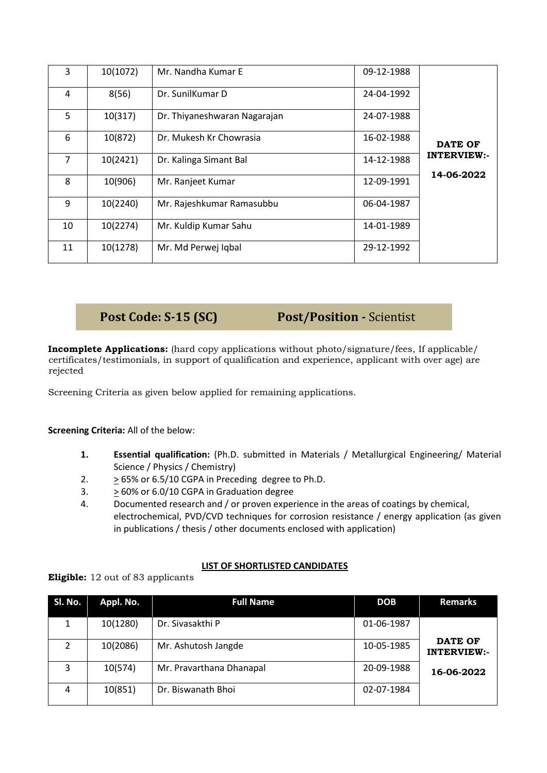| 3  | 10(1072) | Mr. Nandha Kumar E           | 09-12-1988 |                                  |
|----|----------|------------------------------|------------|----------------------------------|
| 4  | 8(56)    | Dr. SunilKumar D             | 24-04-1992 |                                  |
| 5  | 10(317)  | Dr. Thiyaneshwaran Nagarajan | 24-07-1988 |                                  |
| 6  | 10(872)  | Dr. Mukesh Kr Chowrasia      | 16-02-1988 | <b>DATE OF</b>                   |
| 7  | 10(2421) | Dr. Kalinga Simant Bal       | 14-12-1988 | <b>INTERVIEW:-</b><br>14-06-2022 |
| 8  | 10(906)  | Mr. Ranjeet Kumar            | 12-09-1991 |                                  |
| 9  | 10(2240) | Mr. Rajeshkumar Ramasubbu    | 06-04-1987 |                                  |
| 10 | 10(2274) | Mr. Kuldip Kumar Sahu        | 14-01-1989 |                                  |
| 11 | 10(1278) | Mr. Md Perwej Iqbal          | 29-12-1992 |                                  |

**Post Code: S-15 (SC) Post/Position -** Scientist

**Incomplete Applications:** (hard copy applications without photo/signature/fees, If applicable/ certificates/testimonials, in support of qualification and experience, applicant with over age) are rejected

Screening Criteria as given below applied for remaining applications.

**Screening Criteria:** All of the below:

- **1. Essential qualification:** (Ph.D. submitted in Materials / Metallurgical Engineering/ Material Science / Physics / Chemistry)
- 2. > 65% or 6.5/10 CGPA in Preceding degree to Ph.D.
- 3. > 60% or 6.0/10 CGPA in Graduation degree
- 4. Documented research and / or proven experience in the areas of coatings by chemical, electrochemical, PVD/CVD techniques for corrosion resistance / energy application (as given in publications / thesis / other documents enclosed with application)

## **LIST OF SHORTLISTED CANDIDATES**

**Eligible:** 12 out of 83 applicants

| SI. No.       | Appl. No. | <b>Full Name</b>         | <b>DOB</b> | <b>Remarks</b>                       |
|---------------|-----------|--------------------------|------------|--------------------------------------|
| 1             | 10(1280)  | Dr. Sivasakthi P         | 01-06-1987 |                                      |
| $\mathcal{P}$ | 10(2086)  | Mr. Ashutosh Jangde      | 10-05-1985 | <b>DATE OF</b><br><b>INTERVIEW:-</b> |
| 3             | 10(574)   | Mr. Pravarthana Dhanapal | 20-09-1988 | 16-06-2022                           |
| 4             | 10(851)   | Dr. Biswanath Bhoi       | 02-07-1984 |                                      |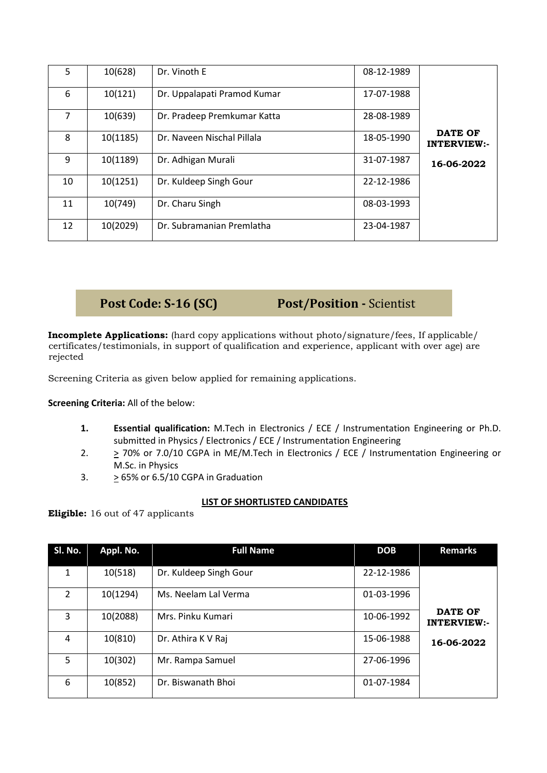| 5  | 10(628)  | Dr. Vinoth E                | 08-12-1989 |                                      |
|----|----------|-----------------------------|------------|--------------------------------------|
| 6  | 10(121)  | Dr. Uppalapati Pramod Kumar | 17-07-1988 |                                      |
| 7  | 10(639)  | Dr. Pradeep Premkumar Katta | 28-08-1989 |                                      |
| 8  | 10(1185) | Dr. Naveen Nischal Pillala  | 18-05-1990 | <b>DATE OF</b><br><b>INTERVIEW:-</b> |
| 9  | 10(1189) | Dr. Adhigan Murali          | 31-07-1987 | 16-06-2022                           |
| 10 | 10(1251) | Dr. Kuldeep Singh Gour      | 22-12-1986 |                                      |
| 11 | 10(749)  | Dr. Charu Singh             | 08-03-1993 |                                      |
| 12 | 10(2029) | Dr. Subramanian Premlatha   | 23-04-1987 |                                      |

## **Post Code: S-16 (SC) Post/Position -** Scientist

**Incomplete Applications:** (hard copy applications without photo/signature/fees, If applicable/ certificates/testimonials, in support of qualification and experience, applicant with over age) are rejected

Screening Criteria as given below applied for remaining applications.

**Screening Criteria:** All of the below:

- **1. Essential qualification:** M.Tech in Electronics / ECE / Instrumentation Engineering or Ph.D. submitted in Physics / Electronics / ECE / Instrumentation Engineering
- 2.  $\geq$  70% or 7.0/10 CGPA in ME/M. Tech in Electronics / ECE / Instrumentation Engineering or M.Sc. in Physics
- 3.  $>65\%$  or 6.5/10 CGPA in Graduation

## **LIST OF SHORTLISTED CANDIDATES**

**Eligible:** 16 out of 47 applicants

| SI. No.        | Appl. No. | <b>Full Name</b>       | <b>DOB</b> | <b>Remarks</b>                       |
|----------------|-----------|------------------------|------------|--------------------------------------|
| 1              | 10(518)   | Dr. Kuldeep Singh Gour | 22-12-1986 |                                      |
| $\overline{2}$ | 10(1294)  | Ms. Neelam Lal Verma   | 01-03-1996 |                                      |
| 3              | 10(2088)  | Mrs. Pinku Kumari      | 10-06-1992 | <b>DATE OF</b><br><b>INTERVIEW:-</b> |
| 4              | 10(810)   | Dr. Athira K V Raj     | 15-06-1988 | 16-06-2022                           |
| 5              | 10(302)   | Mr. Rampa Samuel       | 27-06-1996 |                                      |
| 6              | 10(852)   | Dr. Biswanath Bhoi     | 01-07-1984 |                                      |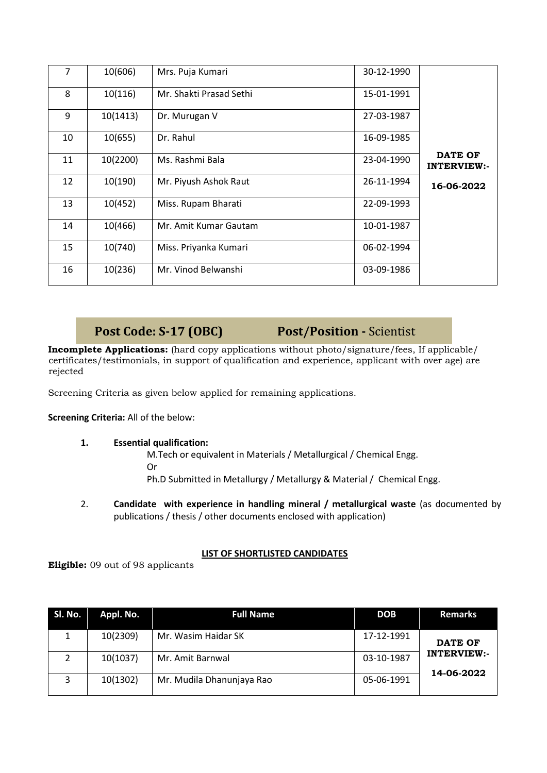| 7  | 10(606)  | Mrs. Puja Kumari        | 30-12-1990 |                                      |
|----|----------|-------------------------|------------|--------------------------------------|
| 8  | 10(116)  | Mr. Shakti Prasad Sethi | 15-01-1991 |                                      |
| 9  | 10(1413) | Dr. Murugan V           | 27-03-1987 |                                      |
| 10 | 10(655)  | Dr. Rahul               | 16-09-1985 |                                      |
| 11 | 10(2200) | Ms. Rashmi Bala         | 23-04-1990 | <b>DATE OF</b><br><b>INTERVIEW:-</b> |
| 12 | 10(190)  | Mr. Piyush Ashok Raut   | 26-11-1994 | 16-06-2022                           |
| 13 | 10(452)  | Miss. Rupam Bharati     | 22-09-1993 |                                      |
| 14 | 10(466)  | Mr. Amit Kumar Gautam   | 10-01-1987 |                                      |
| 15 | 10(740)  | Miss. Priyanka Kumari   | 06-02-1994 |                                      |
| 16 | 10(236)  | Mr. Vinod Belwanshi     | 03-09-1986 |                                      |

## **Post Code: S-17 (OBC) Post/Position -** Scientist

**Incomplete Applications:** (hard copy applications without photo/signature/fees, If applicable/ certificates/testimonials, in support of qualification and experience, applicant with over age) are rejected

Screening Criteria as given below applied for remaining applications.

**Screening Criteria:** All of the below:

## **1. Essential qualification:**

M.Tech or equivalent in Materials / Metallurgical / Chemical Engg. Or Ph.D Submitted in Metallurgy / Metallurgy & Material / Chemical Engg.

2. **Candidate with experience in handling mineral / metallurgical waste** (as documented by publications / thesis / other documents enclosed with application)

## **LIST OF SHORTLISTED CANDIDATES**

**Eligible:** 09 out of 98 applicants

| Sl. No. | Appl. No. | <b>Full Name</b>          | <b>DOB</b> | <b>Remarks</b>                   |
|---------|-----------|---------------------------|------------|----------------------------------|
|         | 10(2309)  | Mr. Wasim Haidar SK       | 17-12-1991 | <b>DATE OF</b>                   |
| 2       | 10(1037)  | Mr. Amit Barnwal          | 03-10-1987 | <b>INTERVIEW:-</b><br>14-06-2022 |
| 3       | 10(1302)  | Mr. Mudila Dhanunjaya Rao | 05-06-1991 |                                  |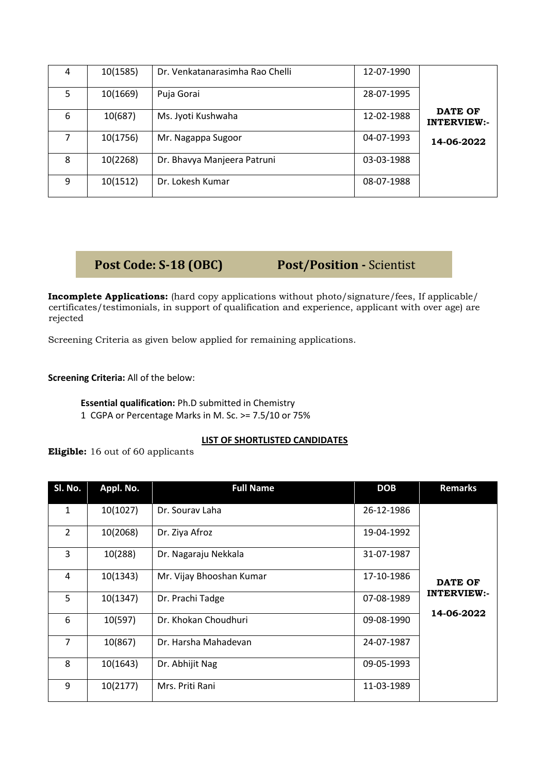| 4 | 10(1585) | Dr. Venkatanarasimha Rao Chelli | 12-07-1990 |                    |
|---|----------|---------------------------------|------------|--------------------|
|   |          |                                 |            |                    |
| 5 | 10(1669) | Puja Gorai                      | 28-07-1995 |                    |
|   |          |                                 |            |                    |
| 6 | 10(687)  | Ms. Jyoti Kushwaha              | 12-02-1988 | DATE OF            |
|   |          |                                 |            | <b>INTERVIEW:-</b> |
|   | 10(1756) | Mr. Nagappa Sugoor              | 04-07-1993 |                    |
|   |          |                                 |            | 14-06-2022         |
| 8 | 10(2268) | Dr. Bhavya Manjeera Patruni     | 03-03-1988 |                    |
|   |          |                                 |            |                    |
|   |          |                                 |            |                    |
| 9 | 10(1512) | Dr. Lokesh Kumar                | 08-07-1988 |                    |
|   |          |                                 |            |                    |

## **Post Code: S-18 (OBC) Post/Position -** Scientist

**Incomplete Applications:** (hard copy applications without photo/signature/fees, If applicable/ certificates/testimonials, in support of qualification and experience, applicant with over age) are rejected

Screening Criteria as given below applied for remaining applications.

**Screening Criteria:** All of the below:

**Essential qualification:** Ph.D submitted in Chemistry 1 CGPA or Percentage Marks in M. Sc. >= 7.5/10 or 75%

## **LIST OF SHORTLISTED CANDIDATES**

**Eligible:** 16 out of 60 applicants

| SI. No.        | Appl. No. | <b>Full Name</b>         | <b>DOB</b> | <b>Remarks</b>                   |
|----------------|-----------|--------------------------|------------|----------------------------------|
| 1              | 10(1027)  | Dr. Souray Laha          | 26-12-1986 |                                  |
| $\overline{2}$ | 10(2068)  | Dr. Ziya Afroz           | 19-04-1992 |                                  |
| 3              | 10(288)   | Dr. Nagaraju Nekkala     | 31-07-1987 |                                  |
| 4              | 10(1343)  | Mr. Vijay Bhooshan Kumar | 17-10-1986 | <b>DATE OF</b>                   |
| 5              | 10(1347)  | Dr. Prachi Tadge         | 07-08-1989 | <b>INTERVIEW:-</b><br>14-06-2022 |
| 6              | 10(597)   | Dr. Khokan Choudhuri     | 09-08-1990 |                                  |
| $\overline{7}$ | 10(867)   | Dr. Harsha Mahadevan     | 24-07-1987 |                                  |
| 8              | 10(1643)  | Dr. Abhijit Nag          | 09-05-1993 |                                  |
| 9              | 10(2177)  | Mrs. Priti Rani          | 11-03-1989 |                                  |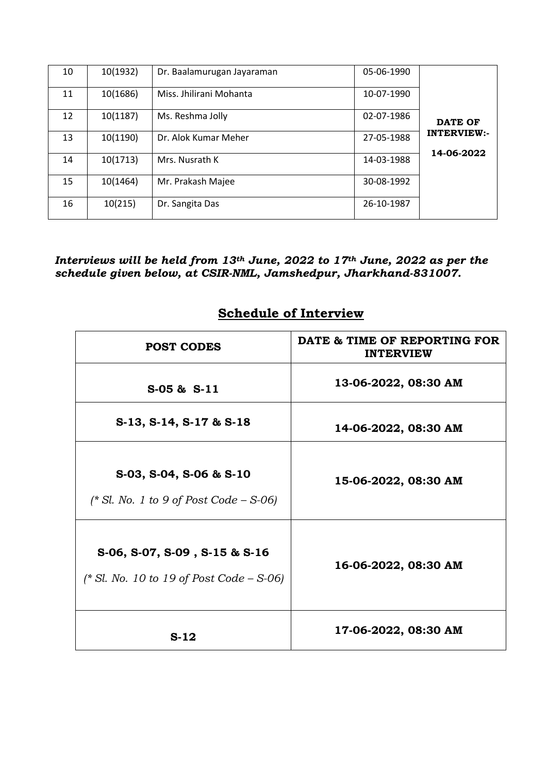| 10 | 10(1932) | Dr. Baalamurugan Jayaraman | 05-06-1990 |                                  |
|----|----------|----------------------------|------------|----------------------------------|
| 11 | 10(1686) | Miss. Jhilirani Mohanta    | 10-07-1990 |                                  |
| 12 | 10(1187) | Ms. Reshma Jolly           | 02-07-1986 | <b>DATE OF</b>                   |
| 13 | 10(1190) | Dr. Alok Kumar Meher       | 27-05-1988 | <b>INTERVIEW:-</b><br>14-06-2022 |
| 14 | 10(1713) | Mrs. Nusrath K             | 14-03-1988 |                                  |
| 15 | 10(1464) | Mr. Prakash Majee          | 30-08-1992 |                                  |
| 16 | 10(215)  | Dr. Sangita Das            | 26-10-1987 |                                  |

*Interviews will be held from 13th June, 2022 to 17th June, 2022 as per the schedule given below, at CSIR-NML, Jamshedpur, Jharkhand-831007.*

# **Schedule of Interview**

| <b>POST CODES</b>                                                                      | DATE & TIME OF REPORTING FOR<br><b>INTERVIEW</b> |
|----------------------------------------------------------------------------------------|--------------------------------------------------|
| $S-05$ & $S-11$                                                                        | 13-06-2022, 08:30 AM                             |
| $S-13$ , $S-14$ , $S-17$ & $S-18$                                                      | 14-06-2022, 08:30 AM                             |
| S-03, S-04, S-06 & S-10<br>$(* Sl. No. 1 to 9 of Post Code - S-06)$                    | 15-06-2022, 08:30 AM                             |
| $S-06$ , $S-07$ , $S-09$ , $S-15$ & $S-16$<br>(* Sl. No. 10 to 19 of Post Code – S-06) | 16-06-2022, 08:30 AM                             |
| $S-12$                                                                                 | 17-06-2022, 08:30 AM                             |